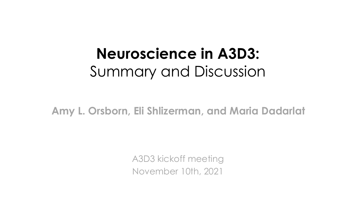## **Neuroscience in A3D3:** Summary and Discussion

**Amy L. Orsborn, Eli Shlizerman, and Maria Dadarlat**

A3D3 kickoff meeting November 10th, 2021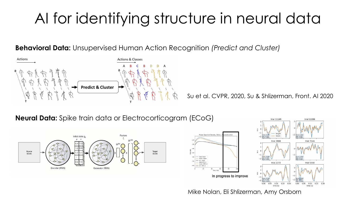# AI for identifying structure in neural data

**Behavioral Data:** Unsupervised Human Action Recognition *(Predict and Cluster)*



Su et al. CVPR, 2020, Su & Shlizerman, Front. AI 2020

**Neural Data:** Spike train data or Electrocorticogram (ECoG)







Mike Nolan, Eli Shlizerman, Amy Orsborn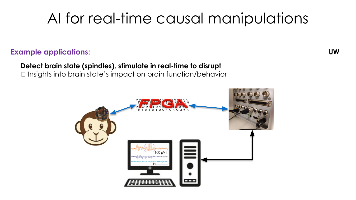## AI for real-time causal manipulations

#### **Example applications:**

**Detect brain state (spindles), stimulate in real-time to disrupt**  $\Box$  Insights into brain state's impact on brain function/behavior



**UW**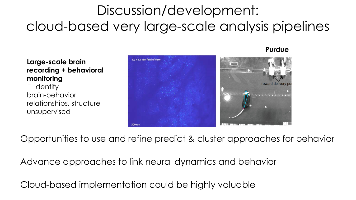### Discussion/development: cloud-based very large-scale analysis pipelines

#### **Large-scale brain recording + behavioral monitoring**

 $\Box$  Identify brain-behavior relationships, structure unsupervised



Opportunities to use and refine predict & cluster approaches for behavior

Advance approaches to link neural dynamics and behavior

Cloud-based implementation could be highly valuable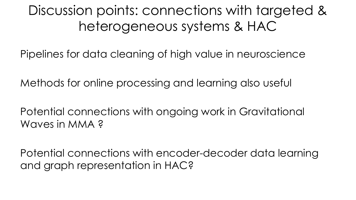#### Discussion points: connections with targeted & heterogeneous systems & HAC

Pipelines for data cleaning of high value in neuroscience

Methods for online processing and learning also useful

Potential connections with ongoing work in Gravitational Waves in MMA ?

Potential connections with encoder-decoder data learning and graph representation in HAC?